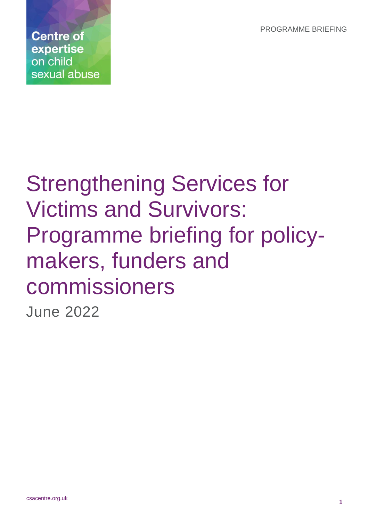PROGRAMME BRIEFING

**Centre of** expertise on child sexual abuse

# Strengthening Services for Victims and Survivors: Programme briefing for policymakers, funders and commissioners June 2022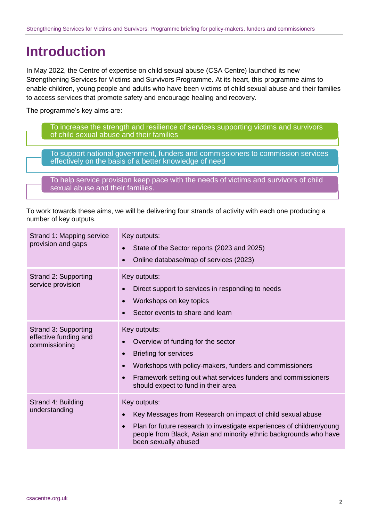# **Introduction**

In May 2022, the Centre of expertise on child sexual abuse (CSA Centre) launched its new Strengthening Services for Victims and Survivors Programme. At its heart, this programme aims to enable children, young people and adults who have been victims of child sexual abuse and their families to access services that promote safety and encourage healing and recovery.

The programme's key aims are:

To increase the strength and resilience of services supporting victims and survivors of child sexual abuse and their families

To support national government, funders and commissioners to commission services effectively on the basis of a better knowledge of need

To help service provision keep pace with the needs of victims and survivors of child sexual abuse and their families.

To work towards these aims, we will be delivering four strands of activity with each one producing a number of key outputs.

| Strand 1: Mapping service<br>provision and gaps                | Key outputs:<br>State of the Sector reports (2023 and 2025)<br>$\bullet$<br>Online database/map of services (2023)                                                                                                                                                                           |
|----------------------------------------------------------------|----------------------------------------------------------------------------------------------------------------------------------------------------------------------------------------------------------------------------------------------------------------------------------------------|
| Strand 2: Supporting<br>service provision                      | Key outputs:<br>Direct support to services in responding to needs<br>$\bullet$<br>Workshops on key topics<br>$\bullet$<br>Sector events to share and learn                                                                                                                                   |
| Strand 3: Supporting<br>effective funding and<br>commissioning | Key outputs:<br>Overview of funding for the sector<br><b>Briefing for services</b><br>$\bullet$<br>Workshops with policy-makers, funders and commissioners<br>$\bullet$<br>Framework setting out what services funders and commissioners<br>$\bullet$<br>should expect to fund in their area |
| Strand 4: Building<br>understanding                            | Key outputs:<br>Key Messages from Research on impact of child sexual abuse<br>$\bullet$<br>Plan for future research to investigate experiences of children/young<br>$\bullet$<br>people from Black, Asian and minority ethnic backgrounds who have<br>been sexually abused                   |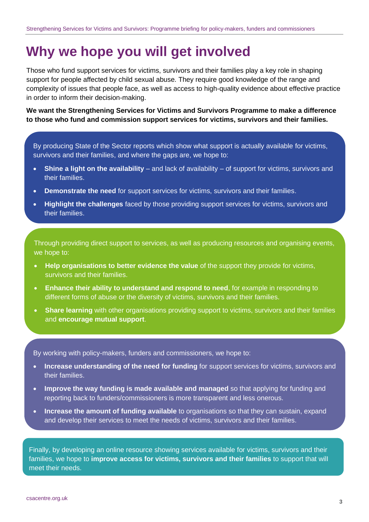# **Why we hope you will get involved**

Those who fund support services for victims, survivors and their families play a key role in shaping support for people affected by child sexual abuse. They require good knowledge of the range and complexity of issues that people face, as well as access to high-quality evidence about effective practice in order to inform their decision-making.

**We want the Strengthening Services for Victims and Survivors Programme to make a difference to those who fund and commission support services for victims, survivors and their families.**

By producing State of the Sector reports which show what support is actually available for victims, survivors and their families, and where the gaps are, we hope to:

- **Shine a light on the availability** and lack of availability of support for victims, survivors and their families.
- **Demonstrate the need** for support services for victims, survivors and their families.
- **Highlight the challenges** faced by those providing support services for victims, survivors and their families.

Through providing direct support to services, as well as producing resources and organising events, we hope to:

- **Help organisations to better evidence the value** of the support they provide for victims, survivors and their families.
- **Enhance their ability to understand and respond to need**, for example in responding to different forms of abuse or the diversity of victims, survivors and their families.
- **Share learning** with other organisations providing support to victims, survivors and their families and **encourage mutual support**.

By working with policy-makers, funders and commissioners, we hope to:

- **Increase understanding of the need for funding** for support services for victims, survivors and their families.
- **Improve the way funding is made available and managed** so that applying for funding and reporting back to funders/commissioners is more transparent and less onerous.
- **Increase the amount of funding available** to organisations so that they can sustain, expand and develop their services to meet the needs of victims, survivors and their families.

Finally, by developing an online resource showing services available for victims, survivors and their families, we hope to **improve access for victims, survivors and their families** to support that wilI meet their needs.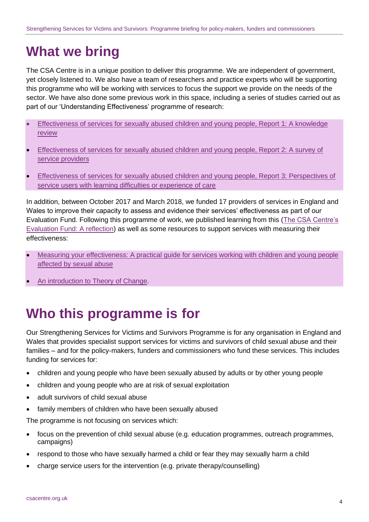# **What we bring**

The CSA Centre is in a unique position to deliver this programme. We are independent of government, yet closely listened to. We also have a team of researchers and practice experts who will be supporting this programme who will be working with services to focus the support we provide on the needs of the sector. We have also done some previous work in this space, including a series of studies carried out as part of our 'Understanding Effectiveness' programme of research:

- [Effectiveness of services for sexually abused children and young people, Report 1: A knowledge](https://www.csacentre.org.uk/documents/effectiveness-knowledge-review/)  [review](https://www.csacentre.org.uk/documents/effectiveness-knowledge-review/)
- [Effectiveness of services for sexually abused children and young people, Report 2: A survey of](https://www.csacentre.org.uk/documents/effectiveness-survey-of-services/)  [service providers](https://www.csacentre.org.uk/documents/effectiveness-survey-of-services/)
- [Effectiveness of services for sexually abused children and young people, Report 3: Perspectives of](https://www.csacentre.org.uk/documents/effectiveness-learning-difficulties-care/)  [service users with learning difficulties or experience of care](https://www.csacentre.org.uk/documents/effectiveness-learning-difficulties-care/)

In addition, between October 2017 and March 2018, we funded 17 providers of services in England and Wales to improve their capacity to assess and evidence their services' effectiveness as part of our Evaluation Fund. Following this programme of work, we published learning from this [\(The CSA Centre's](https://www.csacentre.org.uk/documents/the-csa-centre-evaluation-fund-a-reflection-english/)  [Evaluation Fund: A reflection\)](https://www.csacentre.org.uk/documents/the-csa-centre-evaluation-fund-a-reflection-english/) as well as some resources to support services with measuring their effectiveness:

- [Measuring your effectiveness: A practical guide for services working with children and young people](https://www.csacentre.org.uk/our-research/effectiveness/measuring-your-effectiveness/)  [affected by sexual abuse](https://www.csacentre.org.uk/our-research/effectiveness/measuring-your-effectiveness/)
- [An introduction to Theory of Change.](https://youtu.be/G2QWPTYReaE)

### **Who this programme is for**

Our Strengthening Services for Victims and Survivors Programme is for any organisation in England and Wales that provides specialist support services for victims and survivors of child sexual abuse and their families – and for the policy-makers, funders and commissioners who fund these services. This includes funding for services for:

- children and young people who have been sexually abused by adults or by other young people
- children and young people who are at risk of sexual exploitation
- adult survivors of child sexual abuse
- family members of children who have been sexually abused

The programme is not focusing on services which:

- focus on the prevention of child sexual abuse (e.g. education programmes, outreach programmes, campaigns)
- respond to those who have sexually harmed a child or fear they may sexually harm a child
- charge service users for the intervention (e.g. private therapy/counselling)